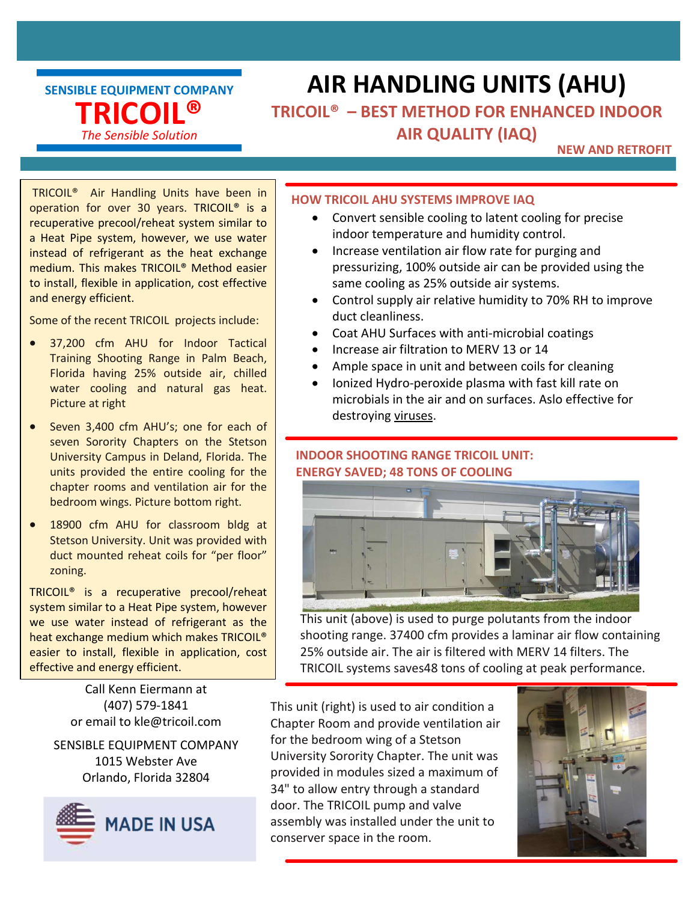SENSIBLE EQUIPMENT COMPANY TRICOIL® The Sensible Solution

# AIR HANDLING UNITS (AHU)

### TRICOIL® – BEST METHOD FOR ENHANCED INDOOR AIR QUALITY (IAQ)

#### NEW AND RETROFIT

 TRICOIL® Air Handling Units have been in operation for over 30 years. TRICOIL® is a recuperative precool/reheat system similar to a Heat Pipe system, however, we use water instead of refrigerant as the heat exchange medium. This makes TRICOIL® Method easier to install, flexible in application, cost effective and energy efficient.

Some of the recent TRICOIL projects include:

- 37,200 cfm AHU for Indoor Tactical Training Shooting Range in Palm Beach, Florida having 25% outside air, chilled water cooling and natural gas heat. Picture at right
- Seven 3,400 cfm AHU's; one for each of seven Sorority Chapters on the Stetson University Campus in Deland, Florida. The units provided the entire cooling for the chapter rooms and ventilation air for the bedroom wings. Picture bottom right.
- 18900 cfm AHU for classroom bldg at Stetson University. Unit was provided with duct mounted reheat coils for "per floor" zoning.

TRICOIL® is a recuperative precool/reheat system similar to a Heat Pipe system, however we use water instead of refrigerant as the heat exchange medium which makes TRICOIL® easier to install, flexible in application, cost effective and energy efficient.

> Call Kenn Eiermann at (407) 579-1841

SENSIBLE EQUIPMENT COMPANY 1015 Webster Ave Orlando, Florida 32804



#### HOW TRICOIL AHU SYSTEMS IMPROVE IAQ

- Convert sensible cooling to latent cooling for precise indoor temperature and humidity control.
- Increase ventilation air flow rate for purging and pressurizing, 100% outside air can be provided using the same cooling as 25% outside air systems.
- Control supply air relative humidity to 70% RH to improve duct cleanliness.
- Coat AHU Surfaces with anti-microbial coatings
- Increase air filtration to MERV 13 or 14
	- Ample space in unit and between coils for cleaning
	- Ionized Hydro-peroxide plasma with fast kill rate on microbials in the air and on surfaces. Aslo effective for destroying viruses.

#### INDOOR SHOOTING RANGE TRICOIL UNIT: ENERGY SAVED; 48 TONS OF COOLING



This unit (above) is used to purge polutants from the indoor shooting range. 37400 cfm provides a laminar air flow containing 25% outside air. The air is filtered with MERV 14 filters. The TRICOIL systems saves48 tons of cooling at peak performance.

or email to kle@tricoil.com Chapter Room and provide ventilation air This unit (right) is used to air condition a for the bedroom wing of a Stetson University Sorority Chapter. The unit was provided in modules sized a maximum of 34" to allow entry through a standard door. The TRICOIL pump and valve assembly was installed under the unit to conserver space in the room.